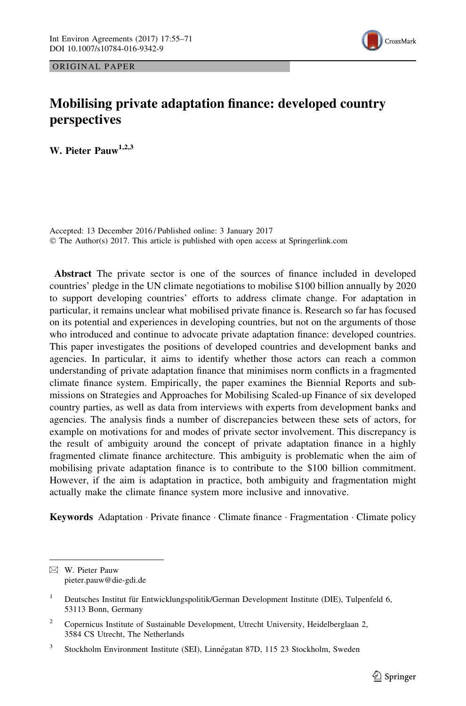



# Mobilising private adaptation finance: developed country perspectives

W. Pieter Pauw<sup>1,2,3</sup>

Accepted: 13 December 2016 / Published online: 3 January 2017 © The Author(s) 2017. This article is published with open access at Springerlink.com

Abstract The private sector is one of the sources of finance included in developed countries' pledge in the UN climate negotiations to mobilise \$100 billion annually by 2020 to support developing countries' efforts to address climate change. For adaptation in particular, it remains unclear what mobilised private finance is. Research so far has focused on its potential and experiences in developing countries, but not on the arguments of those who introduced and continue to advocate private adaptation finance: developed countries. This paper investigates the positions of developed countries and development banks and agencies. In particular, it aims to identify whether those actors can reach a common understanding of private adaptation finance that minimises norm conflicts in a fragmented climate finance system. Empirically, the paper examines the Biennial Reports and submissions on Strategies and Approaches for Mobilising Scaled-up Finance of six developed country parties, as well as data from interviews with experts from development banks and agencies. The analysis finds a number of discrepancies between these sets of actors, for example on motivations for and modes of private sector involvement. This discrepancy is the result of ambiguity around the concept of private adaptation finance in a highly fragmented climate finance architecture. This ambiguity is problematic when the aim of mobilising private adaptation finance is to contribute to the \$100 billion commitment. However, if the aim is adaptation in practice, both ambiguity and fragmentation might actually make the climate finance system more inclusive and innovative.

Keywords Adaptation · Private finance · Climate finance · Fragmentation · Climate policy

 $\boxtimes$  W. Pieter Pauw pieter.pauw@die-gdi.de

<sup>&</sup>lt;sup>1</sup> Deutsches Institut für Entwicklungspolitik/German Development Institute (DIE), Tulpenfeld 6, 53113 Bonn, Germany

<sup>&</sup>lt;sup>2</sup> Copernicus Institute of Sustainable Development, Utrecht University, Heidelberglaan 2, 3584 CS Utrecht, The Netherlands

<sup>&</sup>lt;sup>3</sup> Stockholm Environment Institute (SEI), Linnégatan 87D, 115 23 Stockholm, Sweden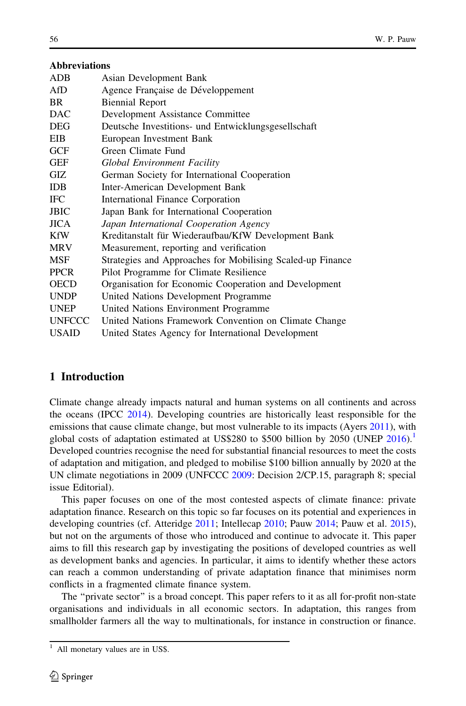|  | Abbreviations |  |  |
|--|---------------|--|--|
|  |               |  |  |
|  |               |  |  |

| ADB         | Asian Development Bank                                     |
|-------------|------------------------------------------------------------|
|             |                                                            |
| AfD         | Agence Française de Développement                          |
| BR          | <b>Biennial Report</b>                                     |
| DAC         | Development Assistance Committee                           |
| DEG         | Deutsche Investitions- und Entwicklungsgesellschaft        |
| EIB         | European Investment Bank                                   |
| GCF         | Green Climate Fund                                         |
| GEF         | <b>Global Environment Facility</b>                         |
| GIZ         | German Society for International Cooperation               |
| IDB         | Inter-American Development Bank                            |
| IFC         | International Finance Corporation                          |
| JBIC        | Japan Bank for International Cooperation                   |
| JICA        | Japan International Cooperation Agency                     |
| KfW         | Kreditanstalt für Wiederaufbau/KfW Development Bank        |
| MRV         | Measurement, reporting and verification                    |
| MSF         | Strategies and Approaches for Mobilising Scaled-up Finance |
| PPCR        | Pilot Programme for Climate Resilience                     |
| OECD        | Organisation for Economic Cooperation and Development      |
| UNDP        | United Nations Development Programme                       |
| <b>UNEP</b> | United Nations Environment Programme                       |
| UNFCCC      | United Nations Framework Convention on Climate Change      |
| USAID       | United States Agency for International Development         |
|             |                                                            |

# 1 Introduction

Climate change already impacts natural and human systems on all continents and across the oceans (IPCC [2014](#page-15-0)). Developing countries are historically least responsible for the emissions that cause climate change, but most vulnerable to its impacts (Ayers [2011\)](#page-15-0), with global costs of adaptation estimated at US\$280 to \$500 billion by 2050 (UNEP  $2016$ ).<sup>1</sup> Developed countries recognise the need for substantial financial resources to meet the costs of adaptation and mitigation, and pledged to mobilise \$100 billion annually by 2020 at the UN climate negotiations in 2009 (UNFCCC [2009:](#page-16-0) Decision 2/CP.15, paragraph 8; special issue Editorial).

This paper focuses on one of the most contested aspects of climate finance: private adaptation finance. Research on this topic so far focuses on its potential and experiences in developing countries (cf. Atteridge [2011](#page-15-0); Intellecap [2010](#page-15-0); Pauw [2014;](#page-15-0) Pauw et al. [2015](#page-15-0)), but not on the arguments of those who introduced and continue to advocate it. This paper aims to fill this research gap by investigating the positions of developed countries as well as development banks and agencies. In particular, it aims to identify whether these actors can reach a common understanding of private adaptation finance that minimises norm conflicts in a fragmented climate finance system.

The ''private sector'' is a broad concept. This paper refers to it as all for-profit non-state organisations and individuals in all economic sectors. In adaptation, this ranges from smallholder farmers all the way to multinationals, for instance in construction or finance.

All monetary values are in US\$.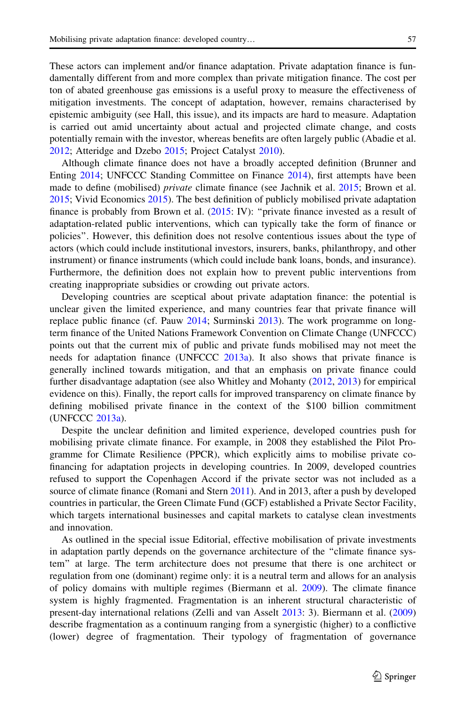These actors can implement and/or finance adaptation. Private adaptation finance is fundamentally different from and more complex than private mitigation finance. The cost per ton of abated greenhouse gas emissions is a useful proxy to measure the effectiveness of mitigation investments. The concept of adaptation, however, remains characterised by epistemic ambiguity (see Hall, this issue), and its impacts are hard to measure. Adaptation is carried out amid uncertainty about actual and projected climate change, and costs potentially remain with the investor, whereas benefits are often largely public (Abadie et al. [2012;](#page-14-0) Atteridge and Dzebo [2015](#page-15-0); Project Catalyst [2010](#page-15-0)).

Although climate finance does not have a broadly accepted definition (Brunner and Enting [2014;](#page-15-0) UNFCCC Standing Committee on Finance [2014](#page-16-0)), first attempts have been made to define (mobilised) private climate finance (see Jachnik et al. [2015](#page-15-0); Brown et al. [2015;](#page-15-0) Vivid Economics [2015](#page-15-0)). The best definition of publicly mobilised private adaptation finance is probably from Brown et al. [\(2015:](#page-15-0) IV): ''private finance invested as a result of adaptation-related public interventions, which can typically take the form of finance or policies''. However, this definition does not resolve contentious issues about the type of actors (which could include institutional investors, insurers, banks, philanthropy, and other instrument) or finance instruments (which could include bank loans, bonds, and insurance). Furthermore, the definition does not explain how to prevent public interventions from creating inappropriate subsidies or crowding out private actors.

Developing countries are sceptical about private adaptation finance: the potential is unclear given the limited experience, and many countries fear that private finance will replace public finance (cf. Pauw [2014](#page-15-0); Surminski [2013\)](#page-15-0). The work programme on longterm finance of the United Nations Framework Convention on Climate Change (UNFCCC) points out that the current mix of public and private funds mobilised may not meet the needs for adaptation finance (UNFCCC [2013a](#page-16-0)). It also shows that private finance is generally inclined towards mitigation, and that an emphasis on private finance could further disadvantage adaptation (see also Whitley and Mohanty ([2012](#page-16-0), [2013](#page-16-0)) for empirical evidence on this). Finally, the report calls for improved transparency on climate finance by defining mobilised private finance in the context of the \$100 billion commitment (UNFCCC [2013a\)](#page-16-0).

Despite the unclear definition and limited experience, developed countries push for mobilising private climate finance. For example, in 2008 they established the Pilot Programme for Climate Resilience (PPCR), which explicitly aims to mobilise private cofinancing for adaptation projects in developing countries. In 2009, developed countries refused to support the Copenhagen Accord if the private sector was not included as a source of climate finance (Romani and Stern [2011](#page-15-0)). And in 2013, after a push by developed countries in particular, the Green Climate Fund (GCF) established a Private Sector Facility, which targets international businesses and capital markets to catalyse clean investments and innovation.

As outlined in the special issue Editorial, effective mobilisation of private investments in adaptation partly depends on the governance architecture of the ''climate finance system'' at large. The term architecture does not presume that there is one architect or regulation from one (dominant) regime only: it is a neutral term and allows for an analysis of policy domains with multiple regimes (Biermann et al. [2009\)](#page-15-0). The climate finance system is highly fragmented. Fragmentation is an inherent structural characteristic of present-day international relations (Zelli and van Asselt [2013](#page-16-0): 3). Biermann et al. ([2009](#page-15-0)) describe fragmentation as a continuum ranging from a synergistic (higher) to a conflictive (lower) degree of fragmentation. Their typology of fragmentation of governance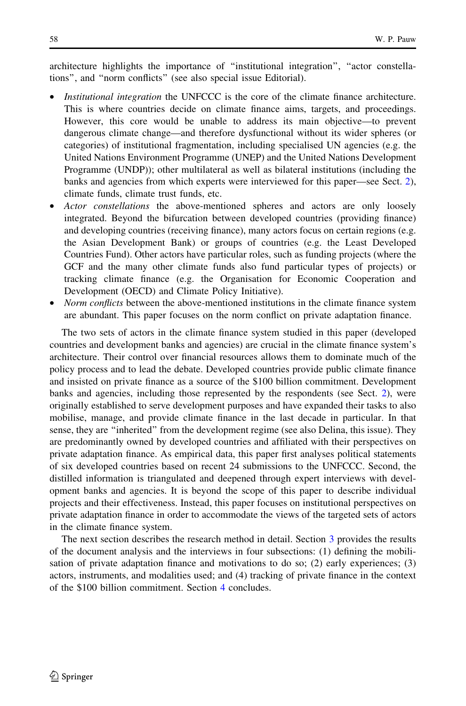architecture highlights the importance of ''institutional integration'', ''actor constellations'', and ''norm conflicts'' (see also special issue Editorial).

- Institutional integration the UNFCCC is the core of the climate finance architecture. This is where countries decide on climate finance aims, targets, and proceedings. However, this core would be unable to address its main objective—to prevent dangerous climate change—and therefore dysfunctional without its wider spheres (or categories) of institutional fragmentation, including specialised UN agencies (e.g. the United Nations Environment Programme (UNEP) and the United Nations Development Programme (UNDP)); other multilateral as well as bilateral institutions (including the banks and agencies from which experts were interviewed for this paper—see Sect. [2](#page-4-0)), climate funds, climate trust funds, etc.
- Actor constellations the above-mentioned spheres and actors are only loosely integrated. Beyond the bifurcation between developed countries (providing finance) and developing countries (receiving finance), many actors focus on certain regions (e.g. the Asian Development Bank) or groups of countries (e.g. the Least Developed Countries Fund). Other actors have particular roles, such as funding projects (where the GCF and the many other climate funds also fund particular types of projects) or tracking climate finance (e.g. the Organisation for Economic Cooperation and Development (OECD) and Climate Policy Initiative).
- Norm conflicts between the above-mentioned institutions in the climate finance system are abundant. This paper focuses on the norm conflict on private adaptation finance.

The two sets of actors in the climate finance system studied in this paper (developed countries and development banks and agencies) are crucial in the climate finance system's architecture. Their control over financial resources allows them to dominate much of the policy process and to lead the debate. Developed countries provide public climate finance and insisted on private finance as a source of the \$100 billion commitment. Development banks and agencies, including those represented by the respondents (see Sect. [2\)](#page-4-0), were originally established to serve development purposes and have expanded their tasks to also mobilise, manage, and provide climate finance in the last decade in particular. In that sense, they are ''inherited'' from the development regime (see also Delina, this issue). They are predominantly owned by developed countries and affiliated with their perspectives on private adaptation finance. As empirical data, this paper first analyses political statements of six developed countries based on recent 24 submissions to the UNFCCC. Second, the distilled information is triangulated and deepened through expert interviews with development banks and agencies. It is beyond the scope of this paper to describe individual projects and their effectiveness. Instead, this paper focuses on institutional perspectives on private adaptation finance in order to accommodate the views of the targeted sets of actors in the climate finance system.

The next section describes the research method in detail. Section [3](#page-5-0) provides the results of the document analysis and the interviews in four subsections: (1) defining the mobilisation of private adaptation finance and motivations to do so; (2) early experiences; (3) actors, instruments, and modalities used; and (4) tracking of private finance in the context of the \$100 billion commitment. Section [4](#page-12-0) concludes.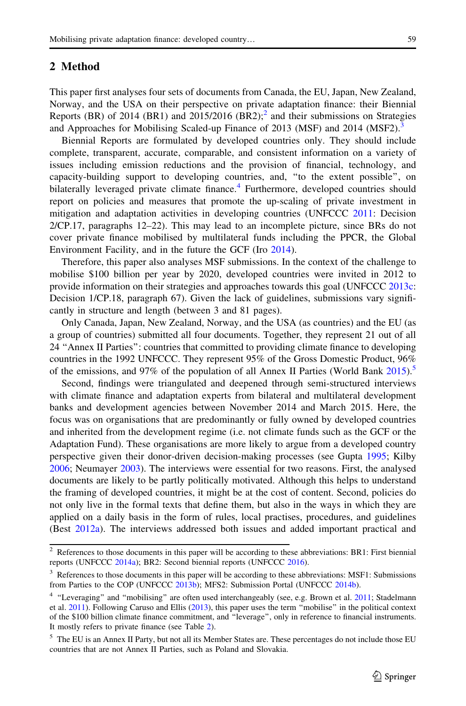### <span id="page-4-0"></span>2 Method

This paper first analyses four sets of documents from Canada, the EU, Japan, New Zealand, Norway, and the USA on their perspective on private adaptation finance: their Biennial Reports (BR) of 2014 (BR1) and 2015/2016 (BR2):<sup>2</sup> and their submissions on Strategies and Approaches for Mobilising Scaled-up Finance of 2013 (MSF) and 2014 (MSF2).<sup>3</sup>

Biennial Reports are formulated by developed countries only. They should include complete, transparent, accurate, comparable, and consistent information on a variety of issues including emission reductions and the provision of financial, technology, and capacity-building support to developing countries, and, ''to the extent possible'', on bilaterally leveraged private climate finance.<sup>4</sup> Furthermore, developed countries should report on policies and measures that promote the up-scaling of private investment in mitigation and adaptation activities in developing countries (UNFCCC [2011:](#page-16-0) Decision 2/CP.17, paragraphs 12–22). This may lead to an incomplete picture, since BRs do not cover private finance mobilised by multilateral funds including the PPCR, the Global Environment Facility, and in the future the GCF (Iro [2014\)](#page-15-0).

Therefore, this paper also analyses MSF submissions. In the context of the challenge to mobilise \$100 billion per year by 2020, developed countries were invited in 2012 to provide information on their strategies and approaches towards this goal (UNFCCC [2013c:](#page-16-0) Decision 1/CP.18, paragraph 67). Given the lack of guidelines, submissions vary significantly in structure and length (between 3 and 81 pages).

Only Canada, Japan, New Zealand, Norway, and the USA (as countries) and the EU (as a group of countries) submitted all four documents. Together, they represent 21 out of all 24 ''Annex II Parties'': countries that committed to providing climate finance to developing countries in the 1992 UNFCCC. They represent 95% of the Gross Domestic Product, 96% of the emissions, and 97% of the population of all Annex II Parties (World Bank [2015\)](#page-16-0).<sup>5</sup>

Second, findings were triangulated and deepened through semi-structured interviews with climate finance and adaptation experts from bilateral and multilateral development banks and development agencies between November 2014 and March 2015. Here, the focus was on organisations that are predominantly or fully owned by developed countries and inherited from the development regime (i.e. not climate funds such as the GCF or the Adaptation Fund). These organisations are more likely to argue from a developed country perspective given their donor-driven decision-making processes (see Gupta [1995;](#page-15-0) Kilby [2006;](#page-15-0) Neumayer [2003](#page-15-0)). The interviews were essential for two reasons. First, the analysed documents are likely to be partly politically motivated. Although this helps to understand the framing of developed countries, it might be at the cost of content. Second, policies do not only live in the formal texts that define them, but also in the ways in which they are applied on a daily basis in the form of rules, local practises, procedures, and guidelines (Best [2012a](#page-15-0)). The interviews addressed both issues and added important practical and

<sup>2</sup> References to those documents in this paper will be according to these abbreviations: BR1: First biennial reports (UNFCCC [2014a](#page-16-0)); BR2: Second biennial reports (UNFCCC [2016](#page-16-0)).

<sup>&</sup>lt;sup>3</sup> References to those documents in this paper will be according to these abbreviations: MSF1: Submissions from Parties to the COP (UNFCCC [2013b](#page-16-0)); MFS2: Submission Portal (UNFCCC [2014b](#page-16-0)).

<sup>&</sup>lt;sup>4</sup> "Leveraging" and "mobilising" are often used interchangeably (see, e.g. Brown et al. [2011](#page-15-0); Stadelmann et al. [2011\)](#page-15-0). Following Caruso and Ellis ([2013](#page-15-0)), this paper uses the term ''mobilise'' in the political context of the \$100 billion climate finance commitment, and ''leverage'', only in reference to financial instruments. It mostly refers to private finance (see Table [2](#page-10-0)).

<sup>5</sup> The EU is an Annex II Party, but not all its Member States are. These percentages do not include those EU countries that are not Annex II Parties, such as Poland and Slovakia.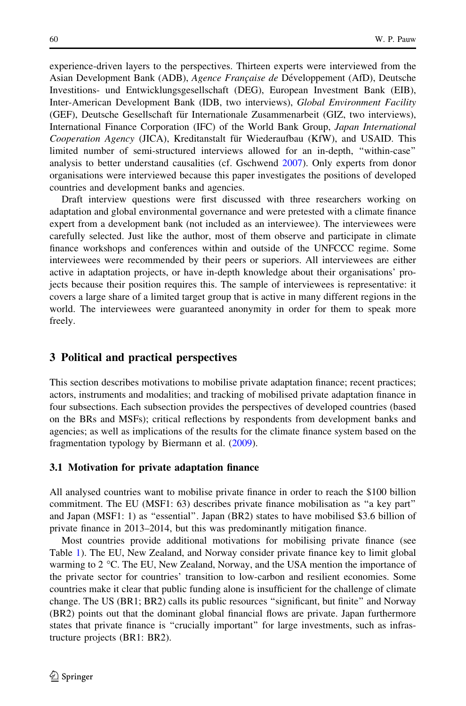<span id="page-5-0"></span>experience-driven layers to the perspectives. Thirteen experts were interviewed from the Asian Development Bank (ADB), Agence Française de Développement (AfD), Deutsche Investitions- und Entwicklungsgesellschaft (DEG), European Investment Bank (EIB), Inter-American Development Bank (IDB, two interviews), Global Environment Facility (GEF), Deutsche Gesellschaft für Internationale Zusammenarbeit (GIZ, two interviews), International Finance Corporation (IFC) of the World Bank Group, Japan International Cooperation Agency (JICA), Kreditanstalt für Wiederaufbau (KfW), and USAID. This limited number of semi-structured interviews allowed for an in-depth, ''within-case'' analysis to better understand causalities (cf. Gschwend [2007](#page-15-0)). Only experts from donor organisations were interviewed because this paper investigates the positions of developed countries and development banks and agencies.

Draft interview questions were first discussed with three researchers working on adaptation and global environmental governance and were pretested with a climate finance expert from a development bank (not included as an interviewee). The interviewees were carefully selected. Just like the author, most of them observe and participate in climate finance workshops and conferences within and outside of the UNFCCC regime. Some interviewees were recommended by their peers or superiors. All interviewees are either active in adaptation projects, or have in-depth knowledge about their organisations' projects because their position requires this. The sample of interviewees is representative: it covers a large share of a limited target group that is active in many different regions in the world. The interviewees were guaranteed anonymity in order for them to speak more freely.

## 3 Political and practical perspectives

This section describes motivations to mobilise private adaptation finance; recent practices; actors, instruments and modalities; and tracking of mobilised private adaptation finance in four subsections. Each subsection provides the perspectives of developed countries (based on the BRs and MSFs); critical reflections by respondents from development banks and agencies; as well as implications of the results for the climate finance system based on the fragmentation typology by Biermann et al. ([2009\)](#page-15-0).

#### 3.1 Motivation for private adaptation finance

All analysed countries want to mobilise private finance in order to reach the \$100 billion commitment. The EU (MSF1: 63) describes private finance mobilisation as ''a key part'' and Japan (MSF1: 1) as ''essential''. Japan (BR2) states to have mobilised \$3.6 billion of private finance in 2013–2014, but this was predominantly mitigation finance.

Most countries provide additional motivations for mobilising private finance (see Table [1](#page-6-0)). The EU, New Zealand, and Norway consider private finance key to limit global warming to  $2^{\circ}$ C. The EU, New Zealand, Norway, and the USA mention the importance of the private sector for countries' transition to low-carbon and resilient economies. Some countries make it clear that public funding alone is insufficient for the challenge of climate change. The US (BR1; BR2) calls its public resources ''significant, but finite'' and Norway (BR2) points out that the dominant global financial flows are private. Japan furthermore states that private finance is "crucially important" for large investments, such as infrastructure projects (BR1: BR2).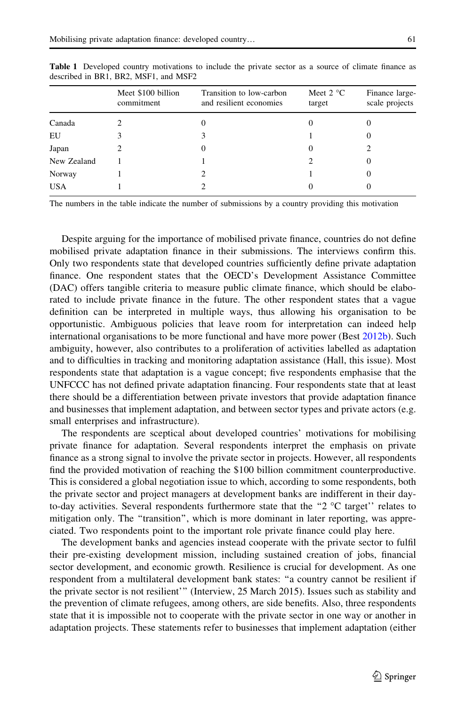| target | Finance large-<br>scale projects |
|--------|----------------------------------|
|        |                                  |
|        |                                  |
|        |                                  |
|        |                                  |
|        |                                  |
|        |                                  |
|        | Meet $2^{\circ}C$                |

<span id="page-6-0"></span>Table 1 Developed country motivations to include the private sector as a source of climate finance as described in BR1, BR2, MSF1, and MSF2

The numbers in the table indicate the number of submissions by a country providing this motivation

Despite arguing for the importance of mobilised private finance, countries do not define mobilised private adaptation finance in their submissions. The interviews confirm this. Only two respondents state that developed countries sufficiently define private adaptation finance. One respondent states that the OECD's Development Assistance Committee (DAC) offers tangible criteria to measure public climate finance, which should be elaborated to include private finance in the future. The other respondent states that a vague definition can be interpreted in multiple ways, thus allowing his organisation to be opportunistic. Ambiguous policies that leave room for interpretation can indeed help international organisations to be more functional and have more power (Best [2012b\)](#page-15-0). Such ambiguity, however, also contributes to a proliferation of activities labelled as adaptation and to difficulties in tracking and monitoring adaptation assistance (Hall, this issue). Most respondents state that adaptation is a vague concept; five respondents emphasise that the UNFCCC has not defined private adaptation financing. Four respondents state that at least there should be a differentiation between private investors that provide adaptation finance and businesses that implement adaptation, and between sector types and private actors (e.g. small enterprises and infrastructure).

The respondents are sceptical about developed countries' motivations for mobilising private finance for adaptation. Several respondents interpret the emphasis on private finance as a strong signal to involve the private sector in projects. However, all respondents find the provided motivation of reaching the \$100 billion commitment counterproductive. This is considered a global negotiation issue to which, according to some respondents, both the private sector and project managers at development banks are indifferent in their dayto-day activities. Several respondents furthermore state that the "2 $\degree$ C target" relates to mitigation only. The ''transition'', which is more dominant in later reporting, was appreciated. Two respondents point to the important role private finance could play here.

The development banks and agencies instead cooperate with the private sector to fulfil their pre-existing development mission, including sustained creation of jobs, financial sector development, and economic growth. Resilience is crucial for development. As one respondent from a multilateral development bank states: ''a country cannot be resilient if the private sector is not resilient''' (Interview, 25 March 2015). Issues such as stability and the prevention of climate refugees, among others, are side benefits. Also, three respondents state that it is impossible not to cooperate with the private sector in one way or another in adaptation projects. These statements refer to businesses that implement adaptation (either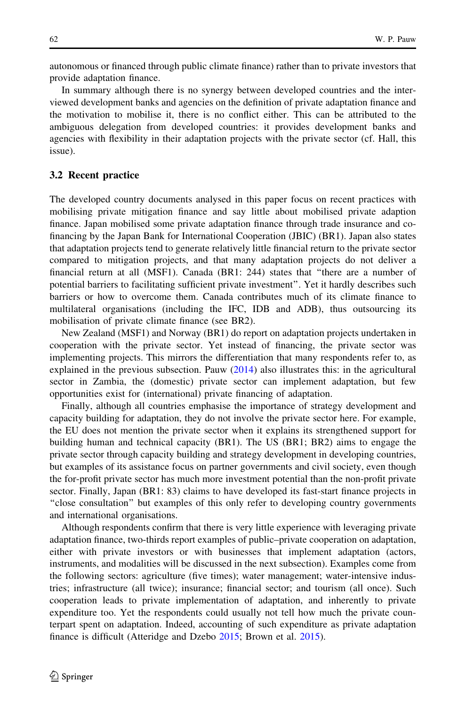autonomous or financed through public climate finance) rather than to private investors that provide adaptation finance.

In summary although there is no synergy between developed countries and the interviewed development banks and agencies on the definition of private adaptation finance and the motivation to mobilise it, there is no conflict either. This can be attributed to the ambiguous delegation from developed countries: it provides development banks and agencies with flexibility in their adaptation projects with the private sector (cf. Hall, this issue).

#### 3.2 Recent practice

The developed country documents analysed in this paper focus on recent practices with mobilising private mitigation finance and say little about mobilised private adaption finance. Japan mobilised some private adaptation finance through trade insurance and cofinancing by the Japan Bank for International Cooperation (JBIC) (BR1). Japan also states that adaptation projects tend to generate relatively little financial return to the private sector compared to mitigation projects, and that many adaptation projects do not deliver a financial return at all (MSF1). Canada (BR1: 244) states that ''there are a number of potential barriers to facilitating sufficient private investment''. Yet it hardly describes such barriers or how to overcome them. Canada contributes much of its climate finance to multilateral organisations (including the IFC, IDB and ADB), thus outsourcing its mobilisation of private climate finance (see BR2).

New Zealand (MSF1) and Norway (BR1) do report on adaptation projects undertaken in cooperation with the private sector. Yet instead of financing, the private sector was implementing projects. This mirrors the differentiation that many respondents refer to, as explained in the previous subsection. Pauw [\(2014](#page-15-0)) also illustrates this: in the agricultural sector in Zambia, the (domestic) private sector can implement adaptation, but few opportunities exist for (international) private financing of adaptation.

Finally, although all countries emphasise the importance of strategy development and capacity building for adaptation, they do not involve the private sector here. For example, the EU does not mention the private sector when it explains its strengthened support for building human and technical capacity (BR1). The US (BR1; BR2) aims to engage the private sector through capacity building and strategy development in developing countries, but examples of its assistance focus on partner governments and civil society, even though the for-profit private sector has much more investment potential than the non-profit private sector. Finally, Japan (BR1: 83) claims to have developed its fast-start finance projects in ''close consultation'' but examples of this only refer to developing country governments and international organisations.

Although respondents confirm that there is very little experience with leveraging private adaptation finance, two-thirds report examples of public–private cooperation on adaptation, either with private investors or with businesses that implement adaptation (actors, instruments, and modalities will be discussed in the next subsection). Examples come from the following sectors: agriculture (five times); water management; water-intensive industries; infrastructure (all twice); insurance; financial sector; and tourism (all once). Such cooperation leads to private implementation of adaptation, and inherently to private expenditure too. Yet the respondents could usually not tell how much the private counterpart spent on adaptation. Indeed, accounting of such expenditure as private adaptation finance is difficult (Atteridge and Dzebo [2015;](#page-15-0) Brown et al. [2015\)](#page-15-0).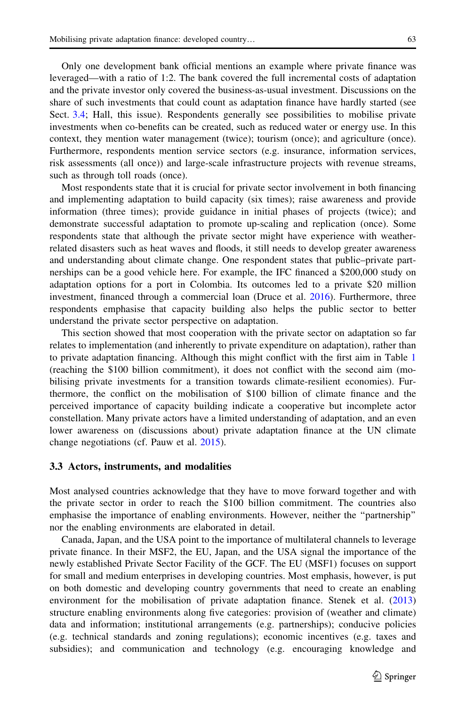Only one development bank official mentions an example where private finance was leveraged—with a ratio of 1:2. The bank covered the full incremental costs of adaptation and the private investor only covered the business-as-usual investment. Discussions on the share of such investments that could count as adaptation finance have hardly started (see Sect. [3.4](#page-11-0); Hall, this issue). Respondents generally see possibilities to mobilise private investments when co-benefits can be created, such as reduced water or energy use. In this context, they mention water management (twice); tourism (once); and agriculture (once). Furthermore, respondents mention service sectors (e.g. insurance, information services, risk assessments (all once)) and large-scale infrastructure projects with revenue streams, such as through toll roads (once).

Most respondents state that it is crucial for private sector involvement in both financing and implementing adaptation to build capacity (six times); raise awareness and provide information (three times); provide guidance in initial phases of projects (twice); and demonstrate successful adaptation to promote up-scaling and replication (once). Some respondents state that although the private sector might have experience with weatherrelated disasters such as heat waves and floods, it still needs to develop greater awareness and understanding about climate change. One respondent states that public–private partnerships can be a good vehicle here. For example, the IFC financed a \$200,000 study on adaptation options for a port in Colombia. Its outcomes led to a private \$20 million investment, financed through a commercial loan (Druce et al. [2016](#page-15-0)). Furthermore, three respondents emphasise that capacity building also helps the public sector to better understand the private sector perspective on adaptation.

This section showed that most cooperation with the private sector on adaptation so far relates to implementation (and inherently to private expenditure on adaptation), rather than to private adaptation financing. Although this might conflict with the first aim in Table [1](#page-6-0) (reaching the \$100 billion commitment), it does not conflict with the second aim (mobilising private investments for a transition towards climate-resilient economies). Furthermore, the conflict on the mobilisation of \$100 billion of climate finance and the perceived importance of capacity building indicate a cooperative but incomplete actor constellation. Many private actors have a limited understanding of adaptation, and an even lower awareness on (discussions about) private adaptation finance at the UN climate change negotiations (cf. Pauw et al. [2015](#page-15-0)).

#### 3.3 Actors, instruments, and modalities

Most analysed countries acknowledge that they have to move forward together and with the private sector in order to reach the \$100 billion commitment. The countries also emphasise the importance of enabling environments. However, neither the ''partnership'' nor the enabling environments are elaborated in detail.

Canada, Japan, and the USA point to the importance of multilateral channels to leverage private finance. In their MSF2, the EU, Japan, and the USA signal the importance of the newly established Private Sector Facility of the GCF. The EU (MSF1) focuses on support for small and medium enterprises in developing countries. Most emphasis, however, is put on both domestic and developing country governments that need to create an enabling environment for the mobilisation of private adaptation finance. Stenek et al. ([2013](#page-15-0)) structure enabling environments along five categories: provision of (weather and climate) data and information; institutional arrangements (e.g. partnerships); conducive policies (e.g. technical standards and zoning regulations); economic incentives (e.g. taxes and subsidies); and communication and technology (e.g. encouraging knowledge and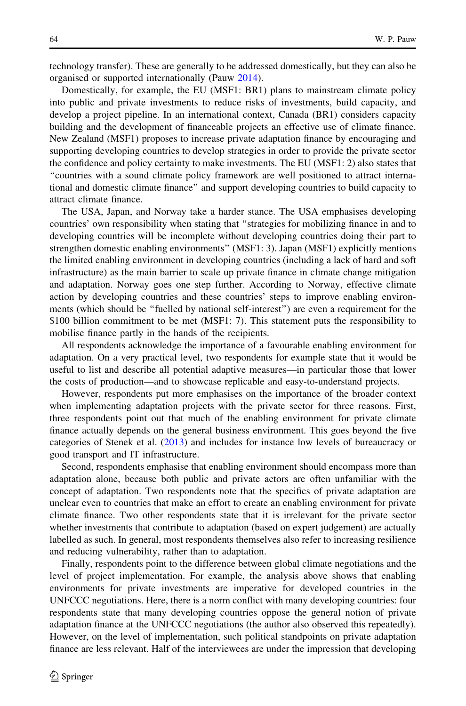technology transfer). These are generally to be addressed domestically, but they can also be organised or supported internationally (Pauw [2014](#page-15-0)).

Domestically, for example, the EU (MSF1: BR1) plans to mainstream climate policy into public and private investments to reduce risks of investments, build capacity, and develop a project pipeline. In an international context, Canada (BR1) considers capacity building and the development of financeable projects an effective use of climate finance. New Zealand (MSF1) proposes to increase private adaptation finance by encouraging and supporting developing countries to develop strategies in order to provide the private sector the confidence and policy certainty to make investments. The EU (MSF1: 2) also states that ''countries with a sound climate policy framework are well positioned to attract international and domestic climate finance'' and support developing countries to build capacity to attract climate finance.

The USA, Japan, and Norway take a harder stance. The USA emphasises developing countries' own responsibility when stating that ''strategies for mobilizing finance in and to developing countries will be incomplete without developing countries doing their part to strengthen domestic enabling environments'' (MSF1: 3). Japan (MSF1) explicitly mentions the limited enabling environment in developing countries (including a lack of hard and soft infrastructure) as the main barrier to scale up private finance in climate change mitigation and adaptation. Norway goes one step further. According to Norway, effective climate action by developing countries and these countries' steps to improve enabling environments (which should be ''fuelled by national self-interest'') are even a requirement for the \$100 billion commitment to be met (MSF1: 7). This statement puts the responsibility to mobilise finance partly in the hands of the recipients.

All respondents acknowledge the importance of a favourable enabling environment for adaptation. On a very practical level, two respondents for example state that it would be useful to list and describe all potential adaptive measures—in particular those that lower the costs of production—and to showcase replicable and easy-to-understand projects.

However, respondents put more emphasises on the importance of the broader context when implementing adaptation projects with the private sector for three reasons. First, three respondents point out that much of the enabling environment for private climate finance actually depends on the general business environment. This goes beyond the five categories of Stenek et al. ([2013\)](#page-15-0) and includes for instance low levels of bureaucracy or good transport and IT infrastructure.

Second, respondents emphasise that enabling environment should encompass more than adaptation alone, because both public and private actors are often unfamiliar with the concept of adaptation. Two respondents note that the specifics of private adaptation are unclear even to countries that make an effort to create an enabling environment for private climate finance. Two other respondents state that it is irrelevant for the private sector whether investments that contribute to adaptation (based on expert judgement) are actually labelled as such. In general, most respondents themselves also refer to increasing resilience and reducing vulnerability, rather than to adaptation.

Finally, respondents point to the difference between global climate negotiations and the level of project implementation. For example, the analysis above shows that enabling environments for private investments are imperative for developed countries in the UNFCCC negotiations. Here, there is a norm conflict with many developing countries: four respondents state that many developing countries oppose the general notion of private adaptation finance at the UNFCCC negotiations (the author also observed this repeatedly). However, on the level of implementation, such political standpoints on private adaptation finance are less relevant. Half of the interviewees are under the impression that developing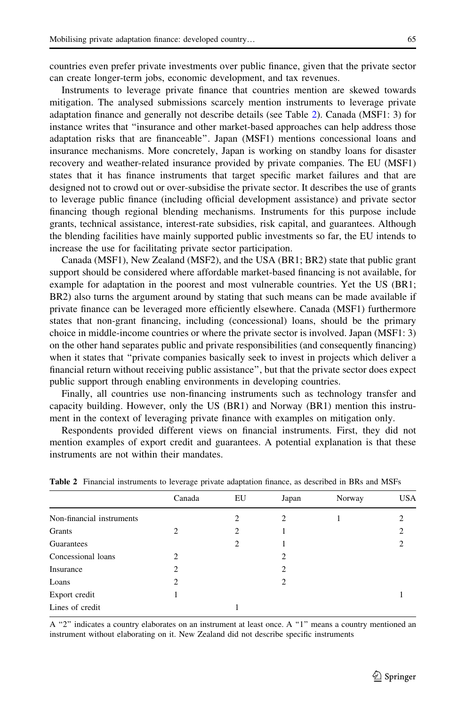<span id="page-10-0"></span>countries even prefer private investments over public finance, given that the private sector can create longer-term jobs, economic development, and tax revenues.

Instruments to leverage private finance that countries mention are skewed towards mitigation. The analysed submissions scarcely mention instruments to leverage private adaptation finance and generally not describe details (see Table 2). Canada (MSF1: 3) for instance writes that ''insurance and other market-based approaches can help address those adaptation risks that are financeable''. Japan (MSF1) mentions concessional loans and insurance mechanisms. More concretely, Japan is working on standby loans for disaster recovery and weather-related insurance provided by private companies. The EU (MSF1) states that it has finance instruments that target specific market failures and that are designed not to crowd out or over-subsidise the private sector. It describes the use of grants to leverage public finance (including official development assistance) and private sector financing though regional blending mechanisms. Instruments for this purpose include grants, technical assistance, interest-rate subsidies, risk capital, and guarantees. Although the blending facilities have mainly supported public investments so far, the EU intends to increase the use for facilitating private sector participation.

Canada (MSF1), New Zealand (MSF2), and the USA (BR1; BR2) state that public grant support should be considered where affordable market-based financing is not available, for example for adaptation in the poorest and most vulnerable countries. Yet the US (BR1; BR2) also turns the argument around by stating that such means can be made available if private finance can be leveraged more efficiently elsewhere. Canada (MSF1) furthermore states that non-grant financing, including (concessional) loans, should be the primary choice in middle-income countries or where the private sector is involved. Japan (MSF1: 3) on the other hand separates public and private responsibilities (and consequently financing) when it states that ''private companies basically seek to invest in projects which deliver a financial return without receiving public assistance'', but that the private sector does expect public support through enabling environments in developing countries.

Finally, all countries use non-financing instruments such as technology transfer and capacity building. However, only the US (BR1) and Norway (BR1) mention this instrument in the context of leveraging private finance with examples on mitigation only.

Respondents provided different views on financial instruments. First, they did not mention examples of export credit and guarantees. A potential explanation is that these instruments are not within their mandates.

|                           | Canada         | EU             | Japan | Norway | <b>USA</b> |
|---------------------------|----------------|----------------|-------|--------|------------|
| Non-financial instruments |                | $\mathfrak{D}$ | 2     |        |            |
| Grants                    | 2              | 2              |       |        | ↑          |
| Guarantees                |                | 2              |       |        |            |
| Concessional loans        | $\mathfrak{D}$ |                | 2     |        |            |
| Insurance                 | 2              |                | 2     |        |            |
| Loans                     | 2              |                | 2     |        |            |
| Export credit             |                |                |       |        |            |
| Lines of credit           |                |                |       |        |            |

Table 2 Financial instruments to leverage private adaptation finance, as described in BRs and MSFs

A "2" indicates a country elaborates on an instrument at least once. A "1" means a country mentioned an instrument without elaborating on it. New Zealand did not describe specific instruments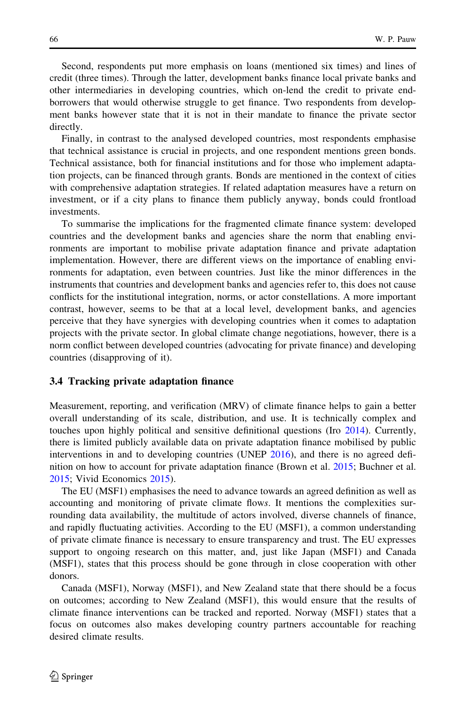<span id="page-11-0"></span>Second, respondents put more emphasis on loans (mentioned six times) and lines of credit (three times). Through the latter, development banks finance local private banks and other intermediaries in developing countries, which on-lend the credit to private endborrowers that would otherwise struggle to get finance. Two respondents from development banks however state that it is not in their mandate to finance the private sector directly.

Finally, in contrast to the analysed developed countries, most respondents emphasise that technical assistance is crucial in projects, and one respondent mentions green bonds. Technical assistance, both for financial institutions and for those who implement adaptation projects, can be financed through grants. Bonds are mentioned in the context of cities with comprehensive adaptation strategies. If related adaptation measures have a return on investment, or if a city plans to finance them publicly anyway, bonds could frontload investments.

To summarise the implications for the fragmented climate finance system: developed countries and the development banks and agencies share the norm that enabling environments are important to mobilise private adaptation finance and private adaptation implementation. However, there are different views on the importance of enabling environments for adaptation, even between countries. Just like the minor differences in the instruments that countries and development banks and agencies refer to, this does not cause conflicts for the institutional integration, norms, or actor constellations. A more important contrast, however, seems to be that at a local level, development banks, and agencies perceive that they have synergies with developing countries when it comes to adaptation projects with the private sector. In global climate change negotiations, however, there is a norm conflict between developed countries (advocating for private finance) and developing countries (disapproving of it).

#### 3.4 Tracking private adaptation finance

Measurement, reporting, and verification (MRV) of climate finance helps to gain a better overall understanding of its scale, distribution, and use. It is technically complex and touches upon highly political and sensitive definitional questions (Iro [2014](#page-15-0)). Currently, there is limited publicly available data on private adaptation finance mobilised by public interventions in and to developing countries (UNEP [2016](#page-16-0)), and there is no agreed definition on how to account for private adaptation finance (Brown et al. [2015](#page-15-0); Buchner et al. [2015;](#page-15-0) Vivid Economics [2015](#page-15-0)).

The EU (MSF1) emphasises the need to advance towards an agreed definition as well as accounting and monitoring of private climate flows. It mentions the complexities surrounding data availability, the multitude of actors involved, diverse channels of finance, and rapidly fluctuating activities. According to the EU (MSF1), a common understanding of private climate finance is necessary to ensure transparency and trust. The EU expresses support to ongoing research on this matter, and, just like Japan (MSF1) and Canada (MSF1), states that this process should be gone through in close cooperation with other donors.

Canada (MSF1), Norway (MSF1), and New Zealand state that there should be a focus on outcomes; according to New Zealand (MSF1), this would ensure that the results of climate finance interventions can be tracked and reported. Norway (MSF1) states that a focus on outcomes also makes developing country partners accountable for reaching desired climate results.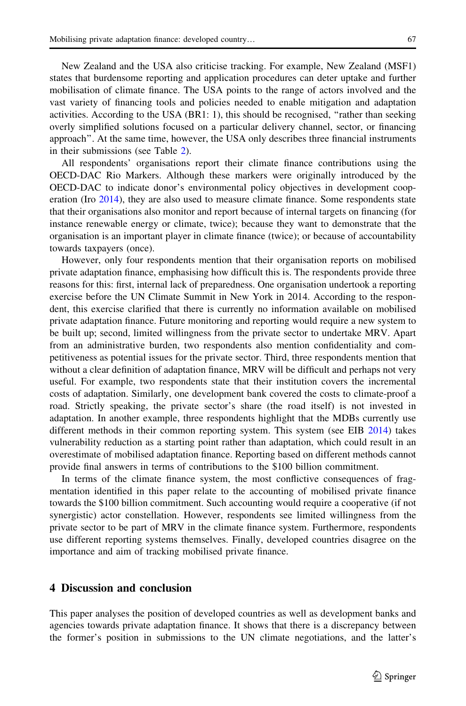<span id="page-12-0"></span>New Zealand and the USA also criticise tracking. For example, New Zealand (MSF1) states that burdensome reporting and application procedures can deter uptake and further mobilisation of climate finance. The USA points to the range of actors involved and the vast variety of financing tools and policies needed to enable mitigation and adaptation activities. According to the USA (BR1: 1), this should be recognised, ''rather than seeking overly simplified solutions focused on a particular delivery channel, sector, or financing approach''. At the same time, however, the USA only describes three financial instruments in their submissions (see Table [2](#page-10-0)).

All respondents' organisations report their climate finance contributions using the OECD-DAC Rio Markers. Although these markers were originally introduced by the OECD-DAC to indicate donor's environmental policy objectives in development cooperation (Iro [2014](#page-15-0)), they are also used to measure climate finance. Some respondents state that their organisations also monitor and report because of internal targets on financing (for instance renewable energy or climate, twice); because they want to demonstrate that the organisation is an important player in climate finance (twice); or because of accountability towards taxpayers (once).

However, only four respondents mention that their organisation reports on mobilised private adaptation finance, emphasising how difficult this is. The respondents provide three reasons for this: first, internal lack of preparedness. One organisation undertook a reporting exercise before the UN Climate Summit in New York in 2014. According to the respondent, this exercise clarified that there is currently no information available on mobilised private adaptation finance. Future monitoring and reporting would require a new system to be built up; second, limited willingness from the private sector to undertake MRV. Apart from an administrative burden, two respondents also mention confidentiality and competitiveness as potential issues for the private sector. Third, three respondents mention that without a clear definition of adaptation finance, MRV will be difficult and perhaps not very useful. For example, two respondents state that their institution covers the incremental costs of adaptation. Similarly, one development bank covered the costs to climate-proof a road. Strictly speaking, the private sector's share (the road itself) is not invested in adaptation. In another example, three respondents highlight that the MDBs currently use different methods in their common reporting system. This system (see EIB [2014](#page-15-0)) takes vulnerability reduction as a starting point rather than adaptation, which could result in an overestimate of mobilised adaptation finance. Reporting based on different methods cannot provide final answers in terms of contributions to the \$100 billion commitment.

In terms of the climate finance system, the most conflictive consequences of fragmentation identified in this paper relate to the accounting of mobilised private finance towards the \$100 billion commitment. Such accounting would require a cooperative (if not synergistic) actor constellation. However, respondents see limited willingness from the private sector to be part of MRV in the climate finance system. Furthermore, respondents use different reporting systems themselves. Finally, developed countries disagree on the importance and aim of tracking mobilised private finance.

# 4 Discussion and conclusion

This paper analyses the position of developed countries as well as development banks and agencies towards private adaptation finance. It shows that there is a discrepancy between the former's position in submissions to the UN climate negotiations, and the latter's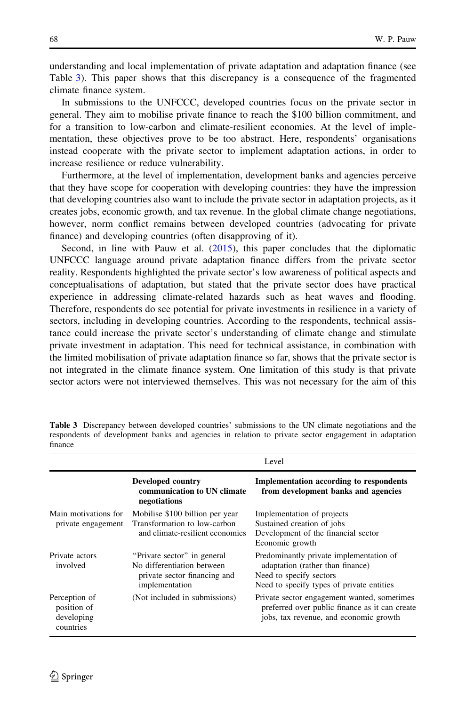understanding and local implementation of private adaptation and adaptation finance (see Table 3). This paper shows that this discrepancy is a consequence of the fragmented climate finance system.

In submissions to the UNFCCC, developed countries focus on the private sector in general. They aim to mobilise private finance to reach the \$100 billion commitment, and for a transition to low-carbon and climate-resilient economies. At the level of implementation, these objectives prove to be too abstract. Here, respondents' organisations instead cooperate with the private sector to implement adaptation actions, in order to increase resilience or reduce vulnerability.

Furthermore, at the level of implementation, development banks and agencies perceive that they have scope for cooperation with developing countries: they have the impression that developing countries also want to include the private sector in adaptation projects, as it creates jobs, economic growth, and tax revenue. In the global climate change negotiations, however, norm conflict remains between developed countries (advocating for private finance) and developing countries (often disapproving of it).

Second, in line with Pauw et al. [\(2015](#page-15-0)), this paper concludes that the diplomatic UNFCCC language around private adaptation finance differs from the private sector reality. Respondents highlighted the private sector's low awareness of political aspects and conceptualisations of adaptation, but stated that the private sector does have practical experience in addressing climate-related hazards such as heat waves and flooding. Therefore, respondents do see potential for private investments in resilience in a variety of sectors, including in developing countries. According to the respondents, technical assistance could increase the private sector's understanding of climate change and stimulate private investment in adaptation. This need for technical assistance, in combination with the limited mobilisation of private adaptation finance so far, shows that the private sector is not integrated in the climate finance system. One limitation of this study is that private sector actors were not interviewed themselves. This was not necessary for the aim of this

|                                                         | Level                                                                                                       |                                                                                                                                                     |  |
|---------------------------------------------------------|-------------------------------------------------------------------------------------------------------------|-----------------------------------------------------------------------------------------------------------------------------------------------------|--|
|                                                         | <b>Developed country</b><br>communication to UN climate<br>negotiations                                     | Implementation according to respondents<br>from development banks and agencies                                                                      |  |
| Main motivations for<br>private engagement              | Mobilise \$100 billion per year<br>Transformation to low-carbon<br>and climate-resilient economies          | Implementation of projects<br>Sustained creation of jobs<br>Development of the financial sector<br>Economic growth                                  |  |
| Private actors<br>involved                              | "Private sector" in general<br>No differentiation between<br>private sector financing and<br>implementation | Predominantly private implementation of<br>adaptation (rather than finance)<br>Need to specify sectors<br>Need to specify types of private entities |  |
| Perception of<br>position of<br>developing<br>countries | (Not included in submissions)                                                                               | Private sector engagement wanted, sometimes<br>preferred over public finance as it can create<br>jobs, tax revenue, and economic growth             |  |

Table 3 Discrepancy between developed countries' submissions to the UN climate negotiations and the respondents of development banks and agencies in relation to private sector engagement in adaptation finance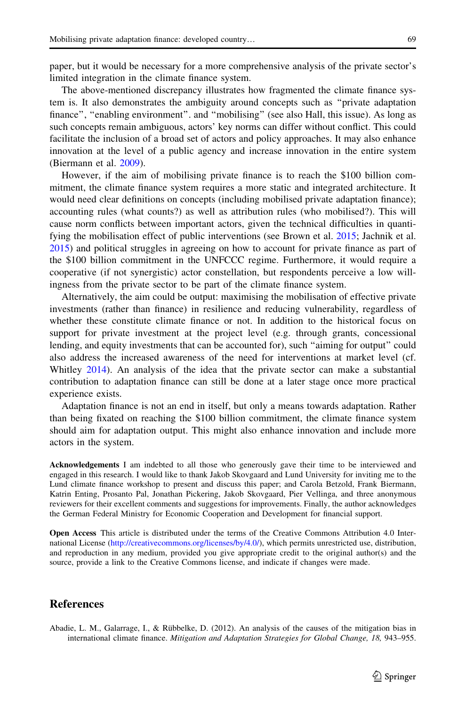<span id="page-14-0"></span>paper, but it would be necessary for a more comprehensive analysis of the private sector's limited integration in the climate finance system.

The above-mentioned discrepancy illustrates how fragmented the climate finance system is. It also demonstrates the ambiguity around concepts such as ''private adaptation finance'', ''enabling environment''. and ''mobilising'' (see also Hall, this issue). As long as such concepts remain ambiguous, actors' key norms can differ without conflict. This could facilitate the inclusion of a broad set of actors and policy approaches. It may also enhance innovation at the level of a public agency and increase innovation in the entire system (Biermann et al. [2009\)](#page-15-0).

However, if the aim of mobilising private finance is to reach the \$100 billion commitment, the climate finance system requires a more static and integrated architecture. It would need clear definitions on concepts (including mobilised private adaptation finance); accounting rules (what counts?) as well as attribution rules (who mobilised?). This will cause norm conflicts between important actors, given the technical difficulties in quantifying the mobilisation effect of public interventions (see Brown et al. [2015](#page-15-0); Jachnik et al. [2015\)](#page-15-0) and political struggles in agreeing on how to account for private finance as part of the \$100 billion commitment in the UNFCCC regime. Furthermore, it would require a cooperative (if not synergistic) actor constellation, but respondents perceive a low willingness from the private sector to be part of the climate finance system.

Alternatively, the aim could be output: maximising the mobilisation of effective private investments (rather than finance) in resilience and reducing vulnerability, regardless of whether these constitute climate finance or not. In addition to the historical focus on support for private investment at the project level (e.g. through grants, concessional lending, and equity investments that can be accounted for), such ''aiming for output'' could also address the increased awareness of the need for interventions at market level (cf. Whitley [2014\)](#page-16-0). An analysis of the idea that the private sector can make a substantial contribution to adaptation finance can still be done at a later stage once more practical experience exists.

Adaptation finance is not an end in itself, but only a means towards adaptation. Rather than being fixated on reaching the \$100 billion commitment, the climate finance system should aim for adaptation output. This might also enhance innovation and include more actors in the system.

Acknowledgements I am indebted to all those who generously gave their time to be interviewed and engaged in this research. I would like to thank Jakob Skovgaard and Lund University for inviting me to the Lund climate finance workshop to present and discuss this paper; and Carola Betzold, Frank Biermann, Katrin Enting, Prosanto Pal, Jonathan Pickering, Jakob Skovgaard, Pier Vellinga, and three anonymous reviewers for their excellent comments and suggestions for improvements. Finally, the author acknowledges the German Federal Ministry for Economic Cooperation and Development for financial support.

Open Access This article is distributed under the terms of the Creative Commons Attribution 4.0 International License [\(http://creativecommons.org/licenses/by/4.0/\)](http://creativecommons.org/licenses/by/4.0/), which permits unrestricted use, distribution, and reproduction in any medium, provided you give appropriate credit to the original author(s) and the source, provide a link to the Creative Commons license, and indicate if changes were made.

# References

Abadie, L. M., Galarrage, I., & Rübbelke, D. (2012). An analysis of the causes of the mitigation bias in international climate finance. Mitigation and Adaptation Strategies for Global Change, 18, 943–955.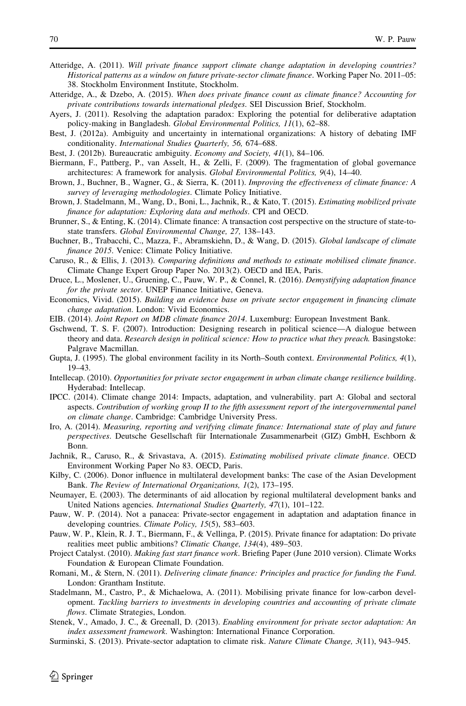- <span id="page-15-0"></span>Atteridge, A. (2011). Will private finance support climate change adaptation in developing countries? Historical patterns as a window on future private-sector climate finance. Working Paper No. 2011–05: 38. Stockholm Environment Institute, Stockholm.
- Atteridge, A., & Dzebo, A. (2015). When does private finance count as climate finance? Accounting for private contributions towards international pledges. SEI Discussion Brief, Stockholm.
- Ayers, J. (2011). Resolving the adaptation paradox: Exploring the potential for deliberative adaptation policy-making in Bangladesh. Global Environmental Politics, 11(1), 62–88.
- Best, J. (2012a). Ambiguity and uncertainty in international organizations: A history of debating IMF conditionality. International Studies Quarterly, 56, 674–688.
- Best, J. (2012b). Bureaucratic ambiguity. *Economy and Society*, 41(1), 84–106.
- Biermann, F., Pattberg, P., van Asselt, H., & Zelli, F. (2009). The fragmentation of global governance architectures: A framework for analysis. Global Environmental Politics, 9(4), 14–40.
- Brown, J., Buchner, B., Wagner, G., & Sierra, K. (2011). Improving the effectiveness of climate finance: A survey of leveraging methodologies. Climate Policy Initiative.
- Brown, J. Stadelmann, M., Wang, D., Boni, L., Jachnik, R., & Kato, T. (2015). Estimating mobilized private finance for adaptation: Exploring data and methods. CPI and OECD.
- Brunner, S., & Enting, K. (2014). Climate finance: A transaction cost perspective on the structure of state-tostate transfers. Global Environmental Change, 27, 138–143.
- Buchner, B., Trabacchi, C., Mazza, F., Abramskiehn, D., & Wang, D. (2015). Global landscape of climate finance 2015. Venice: Climate Policy Initiative.
- Caruso, R., & Ellis, J. (2013). Comparing definitions and methods to estimate mobilised climate finance. Climate Change Expert Group Paper No. 2013(2). OECD and IEA, Paris.
- Druce, L., Moslener, U., Gruening, C., Pauw, W. P., & Connel, R. (2016). Demystifying adaptation finance for the private sector. UNEP Finance Initiative, Geneva.
- Economics, Vivid. (2015). Building an evidence base on private sector engagement in financing climate change adaptation. London: Vivid Economics.
- EIB. (2014). Joint Report on MDB climate finance 2014. Luxemburg: European Investment Bank.
- Gschwend, T. S. F. (2007). Introduction: Designing research in political science—A dialogue between theory and data. Research design in political science: How to practice what they preach. Basingstoke: Palgrave Macmillan.
- Gupta, J. (1995). The global environment facility in its North–South context. Environmental Politics, 4(1), 19–43.
- Intellecap. (2010). Opportunities for private sector engagement in urban climate change resilience building. Hyderabad: Intellecap.
- IPCC. (2014). Climate change 2014: Impacts, adaptation, and vulnerability. part A: Global and sectoral aspects. Contribution of working group II to the fifth assessment report of the intergovernmental panel on climate change. Cambridge: Cambridge University Press.
- Iro, A. (2014). Measuring, reporting and verifying climate finance: International state of play and future perspectives. Deutsche Gesellschaft für Internationale Zusammenarbeit (GIZ) GmbH, Eschborn & Bonn.
- Jachnik, R., Caruso, R., & Srivastava, A. (2015). Estimating mobilised private climate finance. OECD Environment Working Paper No 83. OECD, Paris.
- Kilby, C. (2006). Donor influence in multilateral development banks: The case of the Asian Development Bank. The Review of International Organizations, 1(2), 173–195.
- Neumayer, E. (2003). The determinants of aid allocation by regional multilateral development banks and United Nations agencies. International Studies Quarterly, 47(1), 101–122.
- Pauw, W. P. (2014). Not a panacea: Private-sector engagement in adaptation and adaptation finance in developing countries. Climate Policy, 15(5), 583–603.
- Pauw, W. P., Klein, R. J. T., Biermann, F., & Vellinga, P. (2015). Private finance for adaptation: Do private realities meet public ambitions? Climatic Change, 134(4), 489–503.
- Project Catalyst. (2010). Making fast start finance work. Briefing Paper (June 2010 version). Climate Works Foundation & European Climate Foundation.
- Romani, M., & Stern, N. (2011). Delivering climate finance: Principles and practice for funding the Fund. London: Grantham Institute.
- Stadelmann, M., Castro, P., & Michaelowa, A. (2011). Mobilising private finance for low-carbon development. Tackling barriers to investments in developing countries and accounting of private climate flows. Climate Strategies, London.
- Stenek, V., Amado, J. C., & Greenall, D. (2013). Enabling environment for private sector adaptation: An index assessment framework. Washington: International Finance Corporation.
- Surminski, S. (2013). Private-sector adaptation to climate risk. Nature Climate Change, 3(11), 943–945.